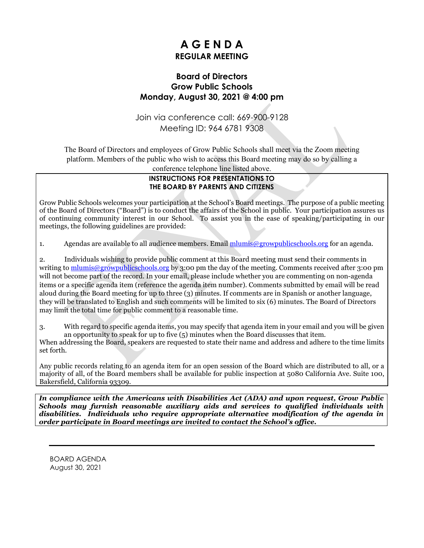## **A G E N D A REGULAR MEETING**

### **Board of Directors Grow Public Schools Monday, August 30, 2021 @ 4:00 pm**

Join via conference call: 669-900-9128 Meeting ID: 964 6781 9308

The Board of Directors and employees of Grow Public Schools shall meet via the Zoom meeting platform. Members of the public who wish to access this Board meeting may do so by calling a

conference telephone line listed above.

#### **INSTRUCTIONS FOR PRESENTATIONS TO THE BOARD BY PARENTS AND CITIZENS**

Grow Public Schools welcomes your participation at the School's Board meetings. The purpose of a public meeting of the Board of Directors ("Board") is to conduct the affairs of the School in public. Your participation assures us of continuing community interest in our School. To assist you in the ease of speaking/participating in our meetings, the following guidelines are provided:

1. Agendas are available to all audience members. Email [mlumis@growpublicschools.org](mailto:mlumis@growpublicschools.org) for an agenda.

2. Individuals wishing to provide public comment at this Board meeting must send their comments in writing to [mlumis@growpublicschools.org](mailto:mlumis@growpublicschools.org) by 3:00 pm the day of the meeting. Comments received after 3:00 pm will not become part of the record. In your email, please include whether you are commenting on non-agenda items or a specific agenda item (reference the agenda item number). Comments submitted by email will be read aloud during the Board meeting for up to three (3) minutes. If comments are in Spanish or another language, they will be translated to English and such comments will be limited to six (6) minutes. The Board of Directors may limit the total time for public comment to a reasonable time.

3. With regard to specific agenda items, you may specify that agenda item in your email and you will be given an opportunity to speak for up to five (5) minutes when the Board discusses that item.

When addressing the Board, speakers are requested to state their name and address and adhere to the time limits set forth.

Any public records relating to an agenda item for an open session of the Board which are distributed to all, or a majority of all, of the Board members shall be available for public inspection at 5080 California Ave. Suite 100, Bakersfield, California 93309.

*In compliance with the Americans with Disabilities Act (ADA) and upon request, Grow Public Schools may furnish reasonable auxiliary aids and services to qualified individuals with disabilities. Individuals who require appropriate alternative modification of the agenda in order participate in Board meetings are invited to contact the School's office.*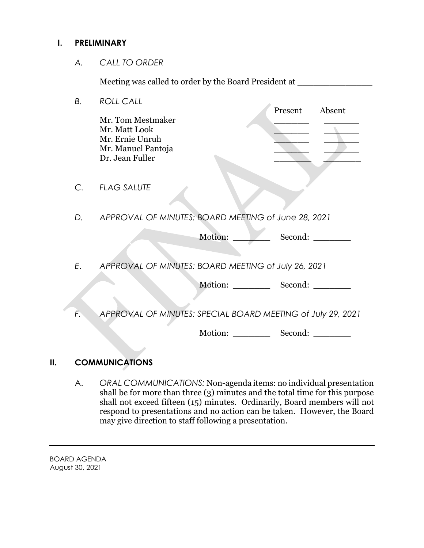#### **I. PRELIMINARY**

*A. CALL TO ORDER*

Meeting was called to order by the Board President at \_\_\_\_\_\_\_\_\_\_\_\_\_\_\_\_\_\_\_\_\_\_\_\_\_\_

| В. | <b>ROLL CALL</b><br>Present<br>Absent                                                          |  |
|----|------------------------------------------------------------------------------------------------|--|
|    | Mr. Tom Mestmaker<br>Mr. Matt Look<br>Mr. Ernie Unruh<br>Mr. Manuel Pantoja<br>Dr. Jean Fuller |  |
| С. | <b>FLAG SALUTE</b>                                                                             |  |
| D. | APPROVAL OF MINUTES: BOARD MEETING of June 28, 2021                                            |  |
|    | Motion:<br>Second:                                                                             |  |
| E. | APPROVAL OF MINUTES: BOARD MEETING of July 26, 2021                                            |  |
|    | Motion: Second:                                                                                |  |
| F. | APPROVAL OF MINUTES: SPECIAL BOARD MEETING of July 29, 2021                                    |  |
|    | Motion:<br>Second:                                                                             |  |

## **II. COMMUNICATIONS**

A. *ORAL COMMUNICATIONS:* Non-agenda items: no individual presentation shall be for more than three (3) minutes and the total time for this purpose shall not exceed fifteen (15) minutes. Ordinarily, Board members will not respond to presentations and no action can be taken. However, the Board may give direction to staff following a presentation.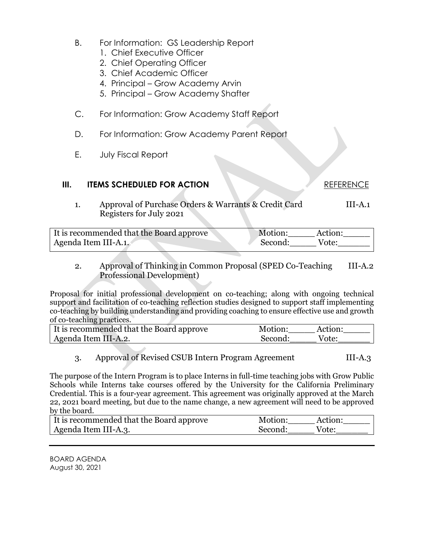- B. For Information: GS Leadership Report
	- 1. Chief Executive Officer
	- 2. Chief Operating Officer
	- 3. Chief Academic Officer
	- 4. Principal Grow Academy Arvin
	- 5. Principal Grow Academy Shafter
- C. For Information: Grow Academy Staff Report
- D. For Information: Grow Academy Parent Report
- E. July Fiscal Report

#### **III. ITEMS SCHEDULED FOR ACTION REFERENCE**

1. Approval of Purchase Orders & Warrants & Credit Card III-A.1 Registers for July 2021

| It is recommended that the Board approve | Motion: | Action: |
|------------------------------------------|---------|---------|
| Agenda Item III-A.1.                     | Second: | Vote:   |

#### 2. Approval of Thinking in Common Proposal (SPED Co-Teaching III-A.2 Professional Development)

Proposal for initial professional development on co-teaching; along with ongoing technical support and facilitation of co-teaching reflection studies designed to support staff implementing co-teaching by building understanding and providing coaching to ensure effective use and growth of co-teaching practices.

| It is recommended that the Board approve | Motion: | Action: |
|------------------------------------------|---------|---------|
| Agenda Item III-A.2.                     | Second: | Vote:   |

#### 3. Approval of Revised CSUB Intern Program Agreement III-A.3

The purpose of the Intern Program is to place Interns in full-time teaching jobs with Grow Public Schools while Interns take courses offered by the University for the California Preliminary Credential. This is a four-year agreement. This agreement was originally approved at the March 22, 2021 board meeting, but due to the name change, a new agreement will need to be approved by the board.

| It is recommended that the Board approve | Motion: | Action: |
|------------------------------------------|---------|---------|
| Agenda Item III-A.3.                     | Second: | Vote:   |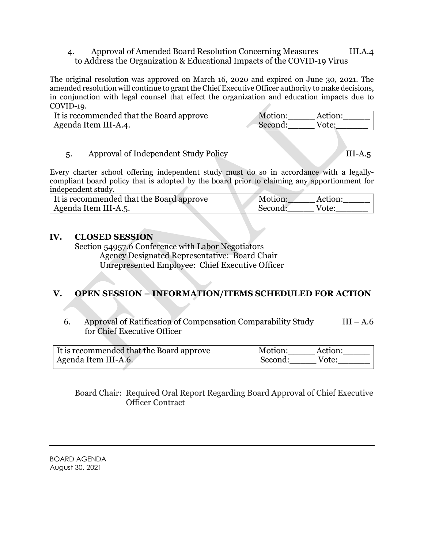#### 4. Approval of Amended Board Resolution Concerning Measures III.A.4 to Address the Organization & Educational Impacts of the COVID-19 Virus

The original resolution was approved on March 16, 2020 and expired on June 30, 2021. The amended resolution will continue to grant the Chief Executive Officer authority to make decisions, in conjunction with legal counsel that effect the organization and education impacts due to COVID-19.

| It is recommended that the Board approve | Motion: | Action: |
|------------------------------------------|---------|---------|
| Agenda Item III-A.4.                     | Second: | Vote:   |

#### 5. Approval of Independent Study Policy III-A.5

Every charter school offering independent study must do so in accordance with a legallycompliant board policy that is adopted by the board prior to claiming any apportionment for independent study.

| It is recommended that the Board approve | Motion: | Action: |
|------------------------------------------|---------|---------|
| Agenda Item III-A.5.                     | Second: | Vote:   |

#### **IV. CLOSED SESSION**

Section 54957.6 Conference with Labor Negotiators Agency Designated Representative: Board Chair Unrepresented Employee: Chief Executive Officer

### **V. OPEN SESSION – INFORMATION/ITEMS SCHEDULED FOR ACTION**

6. Approval of Ratification of Compensation Comparability Study  $III - A.6$ for Chief Executive Officer

| It is recommended that the Board approve | Motion:<br>Action: |
|------------------------------------------|--------------------|
| Agenda Item III-A.6.                     | Second:<br>Vote:   |

Board Chair: Required Oral Report Regarding Board Approval of Chief Executive Officer Contract